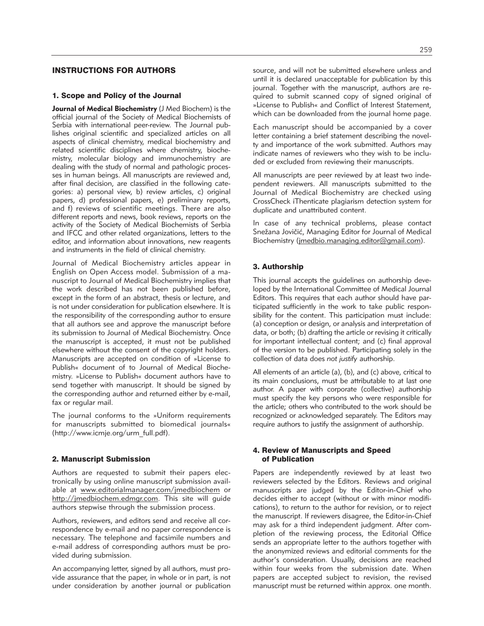# INSTRUCTIONS FOR AUTHORS

#### 1. Scope and Policy of the Journal

**Journal of Medical Biochemistry** (J Med Biochem) is the official journal of the Society of Medical Biochemists of Serbia with international peer-review. The Journal publishes original scientific and specialized articles on all aspects of clinical chemistry, medical biochemistry and related scientific disciplines where chemistry, biochemistry, molecular biology and immunochemistry are dealing with the study of normal and pathologic processes in human beings. All manuscripts are reviewed and, after final decision, are classified in the following categories: a) personal view, b) review articles, c) original papers, d) professional papers, e) preliminary reports, and f) reviews of scientific meetings. There are also different reports and news, book reviews, reports on the activity of the Society of Medical Biochemists of Serbia and IFCC and other related organizations, letters to the editor, and information about innovations, new reagents and instruments in the field of clinical chemistry.

Journal of Medical Biochemistry articles appear in English on Open Access model. Submission of a manu script to Journal of Medical Biochemistry implies that the work described has not been published before, except in the form of an abstract, thesis or lecture, and is not under consideration for publication elsewhere. It is the responsibility of the corresponding author to ensure that all authors see and approve the manuscript before its submission to Journal of Medical Biochemistry. Once the manuscript is accepted, it must not be published elsewhere without the consent of the copyright holders. Manuscripts are accepted on condition of »License to Publish« document of to Journal of Medical Biochemistry. »License to Publish« document authors have to send together with manuscript. It should be signed by the corresponding author and returned either by e-mail, fax or regular mail.

The journal conforms to the »Uniform requirements for manuscripts submitted to biomedical journals« (http://www.icmje.org/urm\_full.pdf).

#### 2. Manuscript Submission

Authors are requested to submit their papers electronically by using online manuscript submission available at www.editorialmanager.com/jmedbiochem or http://jmedbiochem.edmgr.com. This site will guide authors stepwise through the submission process.

Authors, reviewers, and editors send and receive all correspondence by e-mail and no paper correspondence is necessary. The telephone and facsimile numbers and e-mail address of corresponding authors must be provided during submission.

An accompanying letter, signed by all authors, must provide assurance that the paper, in whole or in part, is not under consideration by another journal or publication source, and will not be submitted elsewhere unless and until it is declared unacceptable for publication by this journal. Together with the manuscript, authors are required to submit scanned copy of signed original of »License to Publish« and Conflict of Interest Statement, which can be downloaded from the journal home page.

Each manuscript should be accompanied by a cover letter containing a brief statement describing the novelty and importance of the work submitted. Authors may indicate names of reviewers who they wish to be included or excluded from reviewing their manuscripts.

All manuscripts are peer reviewed by at least two independent reviewers. All manuscripts submitted to the Journal of Medical Biochemistry are checked using CrossCheck iThenticate plagiarism detection system for duplicate and unattributed content.

In case of any technical problems, please contact Snežana Jovičić, Managing Editor for Journal of Medical Biochemistry (jmedbio.managing.editor@gmail.com).

### 3. Authorship

This journal accepts the guidelines on authorship developed by the International Committee of Medical Journal Editors. This requires that each author should have participated sufficiently in the work to take public responsibility for the content. This participation must include: (a) conception or design, or analysis and interpretation of data, or both; (b) drafting the article or revising it critically for important intellectual content; and (c) final approval of the version to be published. Participating solely in the collection of data does *not justify* authorship.

All elements of an article (a), (b), and (c) above, critical to its main conclusions, must be attributable to at last one author. A paper with corporate (collective) authorship must specify the key persons who were responsible for the article; others who contributed to the work should be re cognized or acknowledged separately. The Editors may require authors to justify the assignment of authorship.

### 4. Review of Manuscripts and Speed of Publication

Papers are independently reviewed by at least two reviewers selected by the Editors. Reviews and original manuscripts are judged by the Editor-in-Chief who decides either to accept (without or with minor modifications), to return to the author for revision, or to reject the manuscript. If reviewers disagree, the Editor-in-Chief may ask for a third independent judgment. After completion of the reviewing process, the Editorial Office sends an appropriate letter to the authors together with the anonymized reviews and editorial comments for the author's consideration. Usually, decisions are reached within four weeks from the submission date. When papers are accepted subject to revision, the revised manuscript must be returned within approx. one month.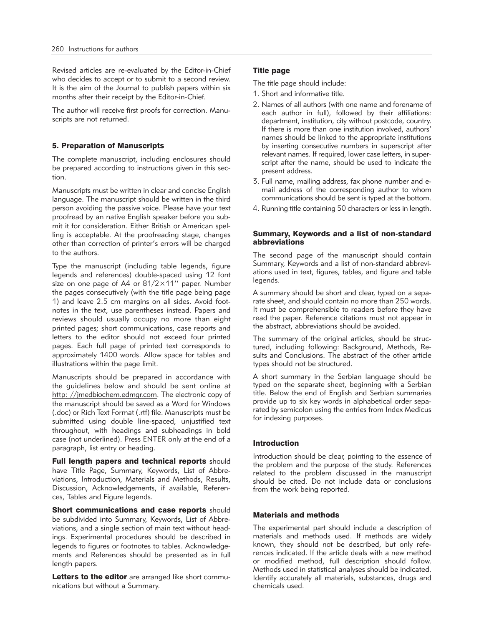Revised articles are re-evaluated by the Editor-in-Chief who decides to accept or to submit to a second review. It is the aim of the Journal to publish papers within six months after their receipt by the Editor-in-Chief.

The author will receive first proofs for correction. Manuscripts are not returned.

## 5. Preparation of Manuscripts

The complete manuscript, including enclosures should be prepared according to instructions given in this section.

Manuscripts must be written in clear and concise English language. The manuscript should be written in the third person avoiding the passive voice. Please have your text proofread by an native English speaker before you submit it for consideration. Either British or American spelling is acceptable. At the proofreading stage, changes other than correction of printer's errors will be charged to the authors.

Type the manuscript (including table legends, figure legends and references) double-spaced using 12 font size on one page of A4 or 81/2×11'' paper. Number the pages consecutively (with the title page being page 1) and leave 2.5 cm margins on all sides. Avoid footnotes in the text, use parentheses instead. Papers and reviews should usually occupy no more than eight printed pages; short communications, case reports and letters to the editor should not exceed four printed pages. Each full page of printed text corresponds to approximately 1400 words. Allow space for tables and illustrations within the page limit.

Manuscripts should be prepared in accordance with the guidelines below and should be sent online at http: //jmedbiochem.edmgr.com. The electronic copy of the manuscript should be saved as a Word for Windows (.doc) or Rich Text Format (.rtf) file. Manuscripts must be submitted using double line-spaced, unjustified text throughout, with headings and subheadings in bold case (not underlined). Press ENTER only at the end of a paragraph, list entry or heading.

Full length papers and technical reports should have Title Page, Summary, Keywords, List of Abbreviations, Introduction, Materials and Methods, Results, Discussion, Acknowledgements, if available, References, Tables and Figure legends.

Short communications and case reports should be subdivided into Summary, Keywords, List of Abbreviations, and a single section of main text without headings. Experimental procedures should be described in legends to figures or footnotes to tables. Acknowledgements and References should be presented as in full length papers.

Letters to the editor are arranged like short communications but without a Summary.

## Title page

The title page should include:

- 1. Short and informative title.
- 2. Names of all authors (with one name and forename of each author in full), followed by their affiliations: department, institution, city without postcode, country. If there is more than one institution involved, authors' names should be linked to the appropriate institutions by inserting consecutive numbers in superscript after relevant names. If required, lower case letters, in superscript after the name, should be used to indicate the present address.
- 3. Full name, mailing address, fax phone number and email address of the corresponding author to whom communications should be sent is typed at the bottom.
- 4. Running title containing 50 characters or less in length.

#### Summary, Keywords and a list of non-standard abbreviations

The second page of the manuscript should contain Summary, Keywords and a list of non-standard abbreviations used in text, figures, tables, and figure and table legends.

A summary should be short and clear, typed on a separate sheet, and should contain no more than 250 words. It must be comprehensible to readers before they have read the paper. Reference citations must not appear in the abstract, abbreviations should be avoided.

The summary of the original articles, should be structured, including following: Background, Methods, Results and Conclusions. The abstract of the other article types should not be structured.

A short summary in the Serbian language should be typed on the separate sheet, beginning with a Serbian title. Below the end of English and Serbian summaries provide up to six key words in alphabetical order separated by semicolon using the entries from Index Medicus for indexing purposes.

# Introduction

Introduction should be clear, pointing to the essence of the problem and the purpose of the study. References related to the problem discussed in the manuscript should be cited. Do not include data or conclusions from the work being reported.

### Materials and methods

The experimental part should include a description of materials and methods used. If methods are widely known, they should not be described, but only references indicated. If the article deals with a new method or modified method, full description should follow. Methods used in statistical analyses should be indicated. Identify accurately all materials, substances, drugs and chemicals used.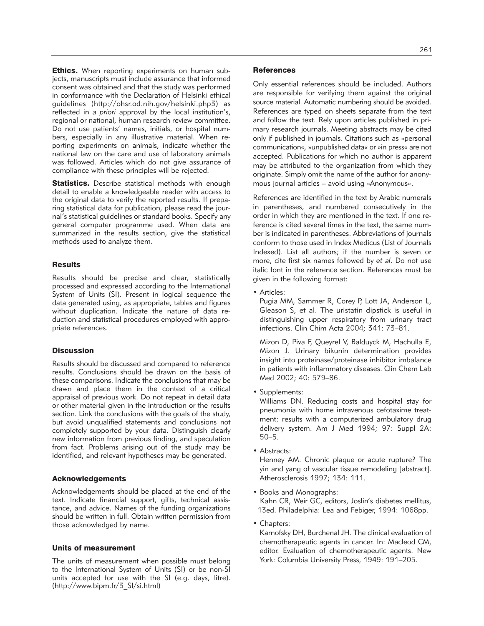**Ethics.** When reporting experiments on human subjects, manuscripts must include assurance that informed consent was obtained and that the study was performed in conformance with the Declaration of Helsinki ethical guidelines (http://ohsr.od.nih.gov/helsinki.php3) as reflected in *a priori* approval by the local institution's, regional or national, human research review committee. Do not use patients' names, initials, or hospital numbers, especially in any illustrative material. When reporting experiments on animals, indicate whether the national law on the care and use of laboratory animals was followed. Articles which do not give assurance of compliance with these principles will be rejected.

**Statistics.** Describe statistical methods with enough detail to enable a knowledgeable reader with access to the original data to verify the reported results. If preparing statistical data for publication, please read the journal's statistical guidelines or standard books. Specify any general computer programme used. When data are summarized in the results section, give the statistical methods used to analyze them.

#### **Results**

Results should be precise and clear, statistically processed and expressed according to the International System of Units (SI). Present in logical sequence the data generated using, as appropriate, tables and figures without duplication. Indicate the nature of data reduction and statistical procedures employed with appropriate references.

#### **Discussion**

Results should be discussed and compared to reference results. Conclusions should be drawn on the basis of these comparisons. Indicate the conclusions that may be drawn and place them in the context of a critical appraisal of previous work. Do not repeat in detail data or other material given in the introduction or the results section. Link the conclusions with the goals of the study, but avoid unqualified statements and conclusions not completely supported by your data. Distinguish clearly new information from previous finding, and speculation from fact. Problems arising out of the study may be identified, and relevant hypotheses may be generated.

#### Acknowledgements

Acknowledgements should be placed at the end of the text. Indicate financial support, gifts, technical assistance, and advice. Names of the funding organizations should be written in full. Obtain written permission from those acknowledged by name.

#### Units of measurement

The units of measurement when possible must belong to the International System of Units (SI) or be non-SI units accepted for use with the SI (e.g. days, litre). (http://www.bipm.fr/3\_SI/si.html)

#### **References**

Only essential references should be included. Authors are responsible for verifying them against the original source material. Automatic numbering should be avoided. References are typed on sheets separate from the text and follow the text. Rely upon articles published in primary research journals. Meeting abstracts may be cited only if published in journals. Citations such as »personal communication«, »unpublished data« or »in press« are not accepted. Publications for which no author is apparent may be attributed to the organization from which they originate. Simply omit the name of the author for anonymous journal articles – avoid using »Anonymous«.

References are identified in the text by Arabic numerals in parentheses, and numbered consecutively in the order in which they are mentioned in the text. If one reference is cited several times in the text, the same number is indicated in parentheses. Abbreviations of journals conform to those used in Index Medicus (List of Journals Indexed). List all authors; if the number is seven or more, cite first six names followed by *et al*. Do not use italic font in the reference section. References must be given in the following format:

• Articles:

Pugia MM, Sammer R, Corey P, Lott JA, Anderson L, Gleason S, et al. The uristatin dipstick is useful in distinguishing upper respiratory from urinary tract infections. Clin Chim Acta 2004; 341: 73–81.

Mizon D, Piva F, Queyrel V, Balduyck M, Hachulla E, Mizon J. Urinary bikunin determination provides insight into proteinase/proteinase inhibitor imbalance in patients with inflammatory diseases. Clin Chem Lab Med 2002; 40: 579–86.

• Supplements:

Williams DN. Reducing costs and hospital stay for pneumonia with home intravenous cefotaxime treatment: results with a computerized ambulatory drug delivery system. Am J Med 1994; 97: Suppl 2A: 50–5.

• Abstracts:

Henney AM. Chronic plaque or acute rupture? The yin and yang of vascular tissue remodeling [abstract]. Atherosclerosis 1997; 134: 111.

- Books and Monographs: Kahn CR, Weir GC, editors, Joslin's diabetes mellitus, 13ed. Philadelphia: Lea and Febiger, 1994: 1068pp.
- Chapters:

Karnofsky DH, Burchenal JH. The clinical evaluation of chemotherapeutic agents in cancer. In: Macleod CM, editor. Evaluation of chemotherapeutic agents. New York: Columbia University Press, 1949: 191–205.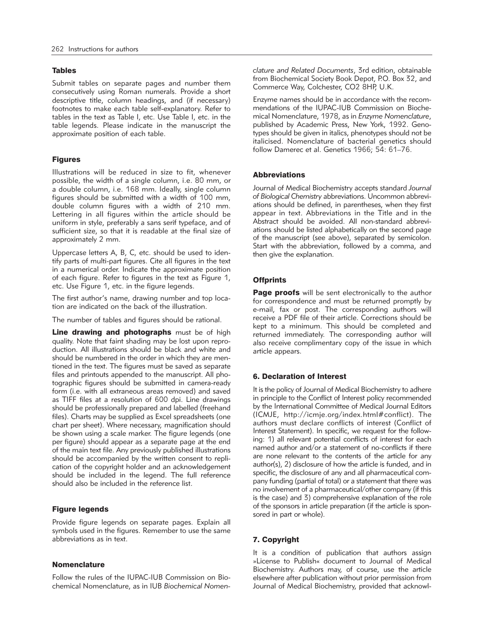### Tables

Submit tables on separate pages and number them consecutively using Roman numerals. Provide a short descriptive title, column headings, and (if necessary) footnotes to make each table self-explanatory. Refer to tables in the text as Table I, etc. Use Table I, etc. in the table legends. Please indicate in the manuscript the approximate position of each table.

# Figures

Illustrations will be reduced in size to fit, whenever possible, the width of a single column, i.e. 80 mm, or a double column, i.e. 168 mm. Ideally, single column figures should be submitted with a width of 100 mm, double column figures with a width of 210 mm. Lettering in all figures within the article should be uniform in style, preferably a sans serif typeface, and of sufficient size, so that it is readable at the final size of approximately 2 mm.

Uppercase letters A, B, C, etc. should be used to identify parts of multi-part figures. Cite all figures in the text in a numerical order. Indicate the approximate position of each figure. Refer to figures in the text as Figure 1, etc. Use Figure 1, etc. in the figure legends.

The first author's name, drawing number and top location are indicated on the back of the illustration.

The number of tables and figures should be rational.

Line drawing and photographs must be of high quality. Note that faint shading may be lost upon reproduction. All illustrations should be black and white and should be numbered in the order in which they are mentioned in the text. The figures must be saved as separate files and printouts appended to the manuscript. All photographic figures should be submitted in camera-ready form (i.e. with all extraneous areas removed) and saved as TIFF files at a resolution of 600 dpi. Line drawings should be professionally prepared and labelled (freehand files). Charts may be supplied as Excel spreadsheets (one chart per sheet). Where necessary, magnification should be shown using a scale marker. The figure legends (one per figure) should appear as a separate page at the end of the main text file. Any previously published illustrations should be accompanied by the written consent to replication of the copyright holder and an acknowledgement should be included in the legend. The full reference should also be included in the reference list.

### Figure legends

Provide figure legends on separate pages. Explain all symbols used in the figures. Remember to use the same abbreviations as in text.

### **Nomenclature**

Follow the rules of the IUPAC-IUB Commission on Biochemical Nomenclature, as in IUB *Biochemical Nomen -* *clature and Related Documents*, 3rd edition, obtainable from Biochemical Society Book Depot, P.O. Box 32, and Commerce Way, Colchester, CO2 8HP, U.K.

Enzyme names should be in accordance with the recommendations of the IUPAC-IUB Commission on Biochemical Nomenclature, 1978, as in *Enzyme Nomenclature*, published by Academic Press, New York, 1992. Genotypes should be given in italics, phenotypes should not be italicised. Nomenclature of bacterial genetics should follow Damerec et al. Genetics 1966; 54: 61–76.

### Abbreviations

Journal of Medical Biochemistry accepts standard *Journal* of Biological Chemistry abbreviations. Uncommon abbreviations should be defined, in parentheses, when they first appear in text. Abbreviations in the Title and in the Abstract should be avoided. All non-standard abbreviations should be listed alphabetically on the second page of the manuscript (see above), separated by semicolon. Start with the abbreviation, followed by a comma, and then give the explanation.

# **Offprints**

**Page proofs** will be sent electronically to the author for correspondence and must be returned promptly by e-mail, fax or post. The corresponding authors will receive a PDF file of their article. Corrections should be kept to a minimum. This should be completed and returned immediately. The corresponding author will also receive complimentary copy of the issue in which article appears.

# 6. Declaration of Interest

It is the policy of Journal of Medical Biochemistry to adhere in principle to the Conflict of Interest policy recommended by the International Committee of Medical Journal Editors (ICMJE, http://icmje.org/index.html#conflict). The authors must declare conflicts of interest (Conflict of Interest Statement). In specific, we request for the following: 1) all relevant potential conflicts of interest for each named author and/or a statement of no-conflicts if there are none relevant to the contents of the article for any author(s), 2) disclosure of how the article is funded, and in specific, the disclosure of any and all pharmaceutical company funding (partial of total) or a statement that there was no involvement of a pharmaceutical/other company (if this is the case) and 3) comprehensive explanation of the role of the sponsors in article preparation (if the article is sponsored in part or whole).

# 7. Copyright

It is a condition of publication that authors assign »License to Publish« document to Journal of Medical Biochemistry. Authors may, of course, use the article elsewhere after publication without prior permission from Journal of Medical Biochemistry, provided that acknowl